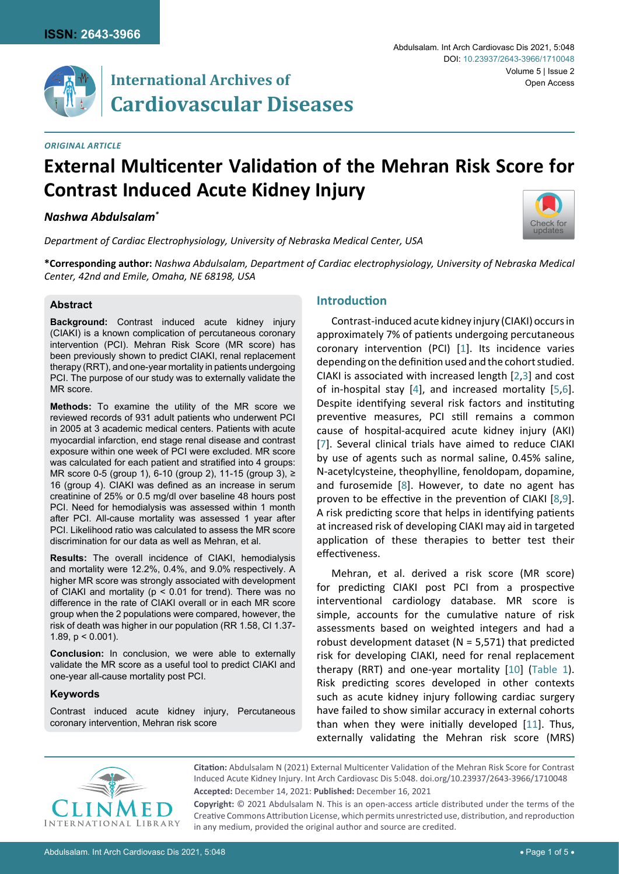

*Original Article*

# **External Multicenter Validation of the Mehran Risk Score for Contrast Induced Acute Kidney Injury**

#### *Nashwa Abdulsalam\**

*Department of Cardiac Electrophysiology, University of Nebraska Medical Center, USA*

**\*Corresponding author:** *Nashwa Abdulsalam, Department of Cardiac electrophysiology, University of Nebraska Medical Center, 42nd and Emile, Omaha, NE 68198, USA*

#### **Abstract**

**Background:** Contrast induced acute kidney injury (CIAKI) is a known complication of percutaneous coronary intervention (PCI). Mehran Risk Score (MR score) has been previously shown to predict CIAKI, renal replacement therapy (RRT), and one-year mortality in patients undergoing PCI. The purpose of our study was to externally validate the MR score.

**Methods:** To examine the utility of the MR score we reviewed records of 931 adult patients who underwent PCI in 2005 at 3 academic medical centers. Patients with acute myocardial infarction, end stage renal disease and contrast exposure within one week of PCI were excluded. MR score was calculated for each patient and stratified into 4 groups: MR score 0-5 (group 1), 6-10 (group 2), 11-15 (group 3), ≥ 16 (group 4). CIAKI was defined as an increase in serum creatinine of 25% or 0.5 mg/dl over baseline 48 hours post PCI. Need for hemodialysis was assessed within 1 month after PCI. All-cause mortality was assessed 1 year after PCI. Likelihood ratio was calculated to assess the MR score discrimination for our data as well as Mehran, et al.

**Results:** The overall incidence of CIAKI, hemodialysis and mortality were 12.2%, 0.4%, and 9.0% respectively. A higher MR score was strongly associated with development of CIAKI and mortality ( $p < 0.01$  for trend). There was no difference in the rate of CIAKI overall or in each MR score group when the 2 populations were compared, however, the risk of death was higher in our population (RR 1.58, CI 1.37- 1.89,  $p < 0.001$ ).

**Conclusion:** In conclusion, we were able to externally validate the MR score as a useful tool to predict CIAKI and one-year all-cause mortality post PCI.

#### **Keywords**

Contrast induced acute kidney injury, Percutaneous coronary intervention, Mehran risk score

## **Introduction**

Contrast-induced acute kidney injury (CIAKI) occurs in approximately 7% of patients undergoing percutaneous coronary intervention (PCI) [[1](#page-3-0)]. Its incidence varies depending on the definition used and the cohort studied. CIAKI is associated with increased length [[2](#page-3-1),[3](#page-4-0)] and cost of in-hospital stay [\[4\]](#page-4-1), and increased mortality [[5](#page-4-2)[,6\]](#page-4-3). Despite identifying several risk factors and instituting preventive measures, PCI still remains a common cause of hospital-acquired acute kidney injury (AKI) [\[7\]](#page-4-4). Several clinical trials have aimed to reduce CIAKI by use of agents such as normal saline, 0.45% saline, N-acetylcysteine, theophylline, fenoldopam, dopamine, and furosemide  $[8]$ . However, to date no agent has proven to be effective in the prevention of CIAKI [[8](#page-4-5)[,9\]](#page-4-6). A risk predicting score that helps in identifying patients at increased risk of developing CIAKI may aid in targeted application of these therapies to better test their effectiveness.

Mehran, et al. derived a risk score (MR score) for predicting CIAKI post PCI from a prospective interventional cardiology database. MR score is simple, accounts for the cumulative nature of risk assessments based on weighted integers and had a robust development dataset ( $N = 5.571$ ) that predicted risk for developing CIAKI, need for renal replacement therapy (RRT) and one-year mortality [[10](#page-4-7)] ([Table 1\)](#page-1-0). Risk predicting scores developed in other contexts such as acute kidney injury following cardiac surgery have failed to show similar accuracy in external cohorts than when they were initially developed [[11](#page-4-8)]. Thus, externally validating the Mehran risk score (MRS)



**Citation:** Abdulsalam N (2021) External Multicenter Validation of the Mehran Risk Score for Contrast Induced Acute Kidney Injury. Int Arch Cardiovasc Dis 5:048. [doi.org/10.23937/2643-3966/1710048](https://doi.org/10.23937/2643-3966/1710048) **Accepted:** December 14, 2021: **Published:** December 16, 2021

**Copyright:** © 2021 Abdulsalam N. This is an open-access article distributed under the terms of the Creative Commons Attribution License, which permits unrestricted use, distribution, and reproduction in any medium, provided the original author and source are credited.

Abdulsalam. Int Arch Cardiovasc Dis 2021, 5:048

Volume 5 | Issue 2

Open Access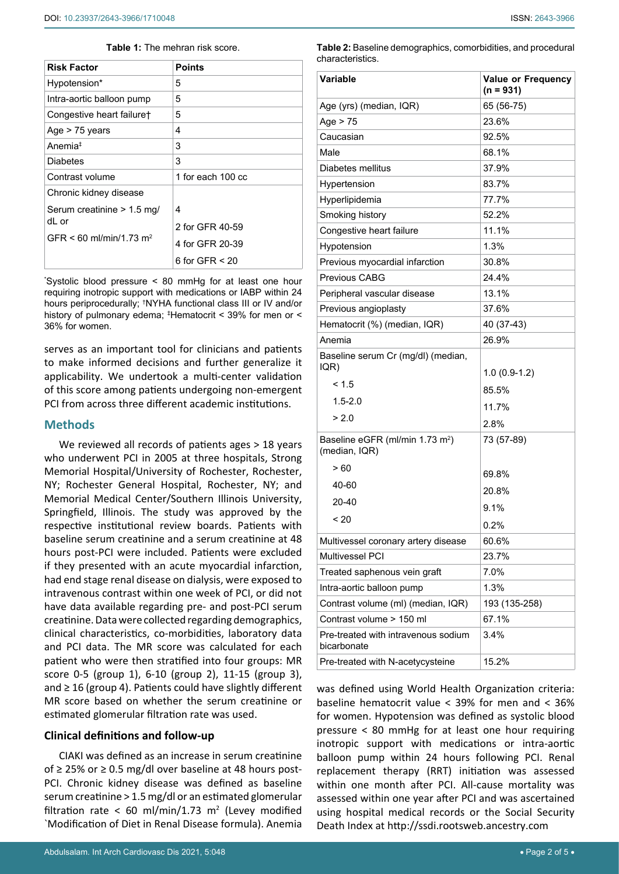#### <span id="page-1-0"></span>**Table 1:** The mehran risk score.

| <b>Risk Factor</b>                  | <b>Points</b>       |  |  |  |
|-------------------------------------|---------------------|--|--|--|
| Hypotension*                        | 5                   |  |  |  |
| Intra-aortic balloon pump           | 5                   |  |  |  |
| Congestive heart failure†           | 5                   |  |  |  |
| Age $>$ 75 years                    | 4                   |  |  |  |
| Anemia <sup>‡</sup>                 | 3                   |  |  |  |
| <b>Diabetes</b>                     | 3                   |  |  |  |
| Contrast volume                     | 1 for each 100 cc   |  |  |  |
| Chronic kidney disease              |                     |  |  |  |
| Serum creatinine > 1.5 mg/          | 4                   |  |  |  |
| dL or                               | 2 for GFR 40-59     |  |  |  |
| GFR < 60 ml/min/1.73 m <sup>2</sup> | 4 for GFR 20-39     |  |  |  |
|                                     | 6 for GFR $\leq$ 20 |  |  |  |

\* Systolic blood pressure < 80 mmHg for at least one hour requiring inotropic support with medications or IABP within 24 hours periprocedurally; † NYHA functional class III or IV and/or history of pulmonary edema; ‡ Hematocrit < 39% for men or < 36% for women.

serves as an important tool for clinicians and patients to make informed decisions and further generalize it applicability. We undertook a multi-center validation of this score among patients undergoing non-emergent PCI from across three different academic institutions.

## **Methods**

We reviewed all records of patients ages > 18 years who underwent PCI in 2005 at three hospitals, Strong Memorial Hospital/University of Rochester, Rochester, NY; Rochester General Hospital, Rochester, NY; and Memorial Medical Center/Southern Illinois University, Springfield, Illinois. The study was approved by the respective institutional review boards. Patients with baseline serum creatinine and a serum creatinine at 48 hours post-PCI were included. Patients were excluded if they presented with an acute myocardial infarction, had end stage renal disease on dialysis, were exposed to intravenous contrast within one week of PCI, or did not have data available regarding pre- and post-PCI serum creatinine. Data were collected regarding demographics, clinical characteristics, co-morbidities, laboratory data and PCI data. The MR score was calculated for each patient who were then stratified into four groups: MR score 0-5 (group 1), 6-10 (group 2), 11-15 (group 3), and ≥ 16 (group 4). Patients could have slightly different MR score based on whether the serum creatinine or estimated glomerular filtration rate was used.

## **Clinical definitions and follow-up**

CIAKI was defined as an increase in serum creatinine of ≥ 25% or ≥ 0.5 mg/dl over baseline at 48 hours post-PCI. Chronic kidney disease was defined as baseline serum creatinine > 1.5 mg/dl or an estimated glomerular filtration rate < 60 ml/min/1.73  $m^2$  (Levey modified `Modification of Diet in Renal Disease formula). Anemia

<span id="page-1-1"></span>**Table 2:** Baseline demographics, comorbidities, and procedural characteristics.

| Variable                                                     | <b>Value or Frequency</b><br>$(n = 931)$ |  |  |  |
|--------------------------------------------------------------|------------------------------------------|--|--|--|
| Age (yrs) (median, IQR)                                      | 65 (56-75)                               |  |  |  |
| Age $> 75$                                                   | 23.6%                                    |  |  |  |
| Caucasian                                                    | 92.5%                                    |  |  |  |
| Male                                                         | 68.1%                                    |  |  |  |
| Diabetes mellitus                                            | 37.9%                                    |  |  |  |
| Hypertension                                                 | 83.7%                                    |  |  |  |
| Hyperlipidemia                                               | 77.7%                                    |  |  |  |
| Smoking history                                              | 52.2%                                    |  |  |  |
| Congestive heart failure                                     | 11.1%                                    |  |  |  |
| Hypotension                                                  | 1.3%                                     |  |  |  |
| Previous myocardial infarction                               | 30.8%                                    |  |  |  |
| Previous CABG                                                | 24.4%                                    |  |  |  |
| Peripheral vascular disease                                  | 13.1%                                    |  |  |  |
| Previous angioplasty                                         | 37.6%                                    |  |  |  |
| Hematocrit (%) (median, IQR)                                 | 40 (37-43)                               |  |  |  |
| Anemia                                                       | 26.9%                                    |  |  |  |
| Baseline serum Cr (mg/dl) (median,<br>IQR)                   | $1.0(0.9-1.2)$                           |  |  |  |
| < 1.5                                                        | 85.5%                                    |  |  |  |
| $1.5 - 2.0$                                                  | 11.7%                                    |  |  |  |
| > 2.0                                                        |                                          |  |  |  |
| Baseline eGFR (ml/min 1.73 m <sup>2</sup> )<br>(median, IQR) | 2.8%<br>73 (57-89)                       |  |  |  |
| > 60                                                         | 69.8%                                    |  |  |  |
| 40-60                                                        | 20.8%                                    |  |  |  |
| 20-40                                                        |                                          |  |  |  |
| ~120                                                         | 91%                                      |  |  |  |
|                                                              | 0.2%                                     |  |  |  |
| Multivessel coronary artery disease                          | 60.6%                                    |  |  |  |
| Multivessel PCI                                              | 23.7%                                    |  |  |  |
| Treated saphenous vein graft                                 | 7.0%                                     |  |  |  |
| Intra-aortic balloon pump                                    | 1.3%                                     |  |  |  |
| Contrast volume (ml) (median, IQR)                           | 193 (135-258)                            |  |  |  |
| Contrast volume > 150 ml                                     | 67.1%                                    |  |  |  |
| Pre-treated with intravenous sodium<br>bicarbonate           | 3.4%                                     |  |  |  |
| Pre-treated with N-acetycysteine                             | 15.2%                                    |  |  |  |

was defined using World Health Organization criteria: baseline hematocrit value < 39% for men and < 36% for women. Hypotension was defined as systolic blood pressure < 80 mmHg for at least one hour requiring inotropic support with medications or intra-aortic balloon pump within 24 hours following PCI. Renal replacement therapy (RRT) initiation was assessed within one month after PCI. All-cause mortality was assessed within one year after PCI and was ascertained using hospital medical records or the Social Security Death Index at <http://ssdi.rootsweb.ancestry.com>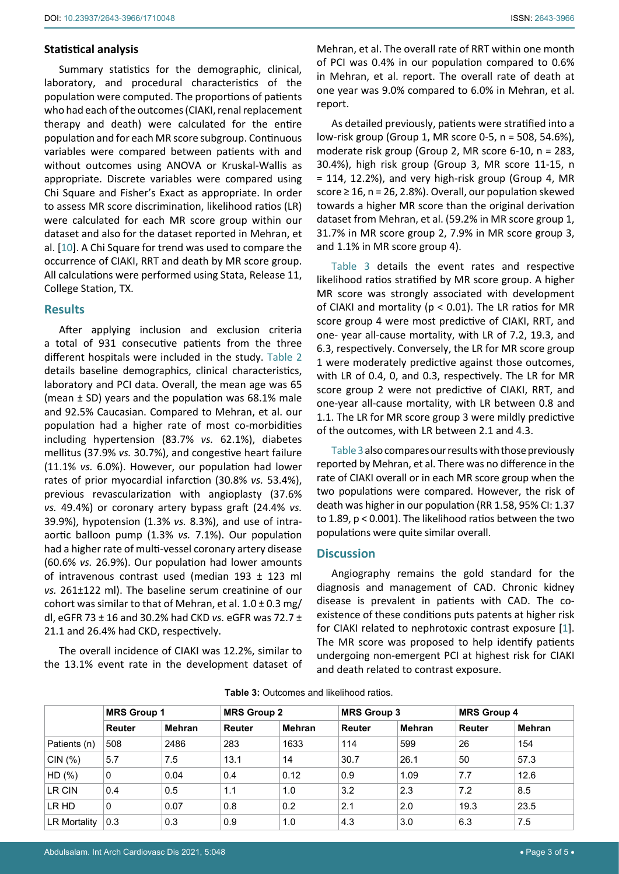## **Statistical analysis**

Summary statistics for the demographic, clinical, laboratory, and procedural characteristics of the population were computed. The proportions of patients who had each of the outcomes (CIAKI, renal replacement therapy and death) were calculated for the entire population and for each MR score subgroup. Continuous variables were compared between patients with and without outcomes using ANOVA or Kruskal-Wallis as appropriate. Discrete variables were compared using Chi Square and Fisher's Exact as appropriate. In order to assess MR score discrimination, likelihood ratios (LR) were calculated for each MR score group within our dataset and also for the dataset reported in Mehran, et al. [[10](#page-4-7)]. A Chi Square for trend was used to compare the occurrence of CIAKI, RRT and death by MR score group. All calculations were performed using Stata, Release 11, College Station, TX.

## **Results**

After applying inclusion and exclusion criteria a total of 931 consecutive patients from the three different hospitals were included in the study. [Table](#page-1-1) 2 details baseline demographics, clinical characteristics, laboratory and PCI data. Overall, the mean age was 65 (mean ± SD) years and the population was 68.1% male and 92.5% Caucasian. Compared to Mehran, et al. our population had a higher rate of most co-morbidities including hypertension (83.7% *vs.* 62.1%), diabetes mellitus (37.9% *vs.* 30.7%), and congestive heart failure (11.1% *vs.* 6.0%). However, our population had lower rates of prior myocardial infarction (30.8% *vs.* 53.4%), previous revascularization with angioplasty (37.6% *vs.* 49.4%) or coronary artery bypass graft (24.4% *vs.* 39.9%), hypotension (1.3% *vs.* 8.3%), and use of intraaortic balloon pump (1.3% *vs.* 7.1%). Our population had a higher rate of multi-vessel coronary artery disease (60.6% *vs.* 26.9%). Our population had lower amounts of intravenous contrast used (median 193 ± 123 ml *vs.* 261±122 ml). The baseline serum creatinine of our cohort was similar to that of Mehran, et al.  $1.0 \pm 0.3$  mg/ dl, eGFR 73 ± 16 and 30.2% had CKD *vs.* eGFR was 72.7 ± 21.1 and 26.4% had CKD, respectively.

The overall incidence of CIAKI was 12.2%, similar to the 13.1% event rate in the development dataset of Mehran, et al. The overall rate of RRT within one month of PCI was 0.4% in our population compared to 0.6% in Mehran, et al. report. The overall rate of death at one year was 9.0% compared to 6.0% in Mehran, et al. report.

As detailed previously, patients were stratified into a low-risk group (Group 1, MR score 0-5, n = 508, 54.6%), moderate risk group (Group 2, MR score 6-10, n = 283, 30.4%), high risk group (Group 3, MR score 11-15, n = 114, 12.2%), and very high-risk group (Group 4, MR score  $\geq 16$ , n = 26, 2.8%). Overall, our population skewed towards a higher MR score than the original derivation dataset from Mehran, et al. (59.2% in MR score group 1, 31.7% in MR score group 2, 7.9% in MR score group 3, and 1.1% in MR score group 4).

[Table 3](#page-2-0) details the event rates and respective likelihood ratios stratified by MR score group. A higher MR score was strongly associated with development of CIAKI and mortality ( $p < 0.01$ ). The LR ratios for MR score group 4 were most predictive of CIAKI, RRT, and one- year all-cause mortality, with LR of 7.2, 19.3, and 6.3, respectively. Conversely, the LR for MR score group 1 were moderately predictive against those outcomes, with LR of 0.4, 0, and 0.3, respectively. The LR for MR score group 2 were not predictive of CIAKI, RRT, and one-year all-cause mortality, with LR between 0.8 and 1.1. The LR for MR score group 3 were mildly predictive of the outcomes, with LR between 2.1 and 4.3.

[Table 3](#page-2-0) also compares our results with those previously reported by Mehran, et al. There was no difference in the rate of CIAKI overall or in each MR score group when the two populations were compared. However, the risk of death was higher in our population (RR 1.58, 95% CI: 1.37 to 1.89, p < 0.001). The likelihood ratios between the two populations were quite similar overall.

## **Discussion**

Angiography remains the gold standard for the diagnosis and management of CAD. Chronic kidney disease is prevalent in patients with CAD. The coexistence of these conditions puts patents at higher risk for CIAKI related to nephrotoxic contrast exposure [[1](#page-3-0)]. The MR score was proposed to help identify patients undergoing non-emergent PCI at highest risk for CIAKI and death related to contrast exposure.

|              | MRS Group 1   |        | <b>MRS Group 2</b> |               | <b>MRS Group 3</b> |        | <b>MRS Group 4</b> |               |
|--------------|---------------|--------|--------------------|---------------|--------------------|--------|--------------------|---------------|
|              | <b>Reuter</b> | Mehran | <b>Reuter</b>      | <b>Mehran</b> | <b>Reuter</b>      | Mehran | <b>Reuter</b>      | <b>Mehran</b> |
| Patients (n) | 508           | 2486   | 283                | 1633          | 114                | 599    | 26                 | 154           |
| CIN(%)       | 5.7           | 7.5    | 13.1               | 14            | 30.7               | 26.1   | 50                 | 57.3          |
| HD(%)        | $\Omega$      | 0.04   | 0.4                | 0.12          | 0.9                | 1.09   | 7.7                | 12.6          |
| LR CIN       | 0.4           | 0.5    | 1.1                | 1.0           | 3.2                | 2.3    | 7.2                | 8.5           |
| LR HD        | $\Omega$      | 0.07   | 0.8                | 0.2           | 2.1                | 2.0    | 19.3               | 23.5          |
| LR Mortality | 0.3           | 0.3    | 0.9                | 1.0           | 4.3                | 3.0    | 6.3                | 7.5           |

<span id="page-2-0"></span>**Table 3:** Outcomes and likelihood ratios.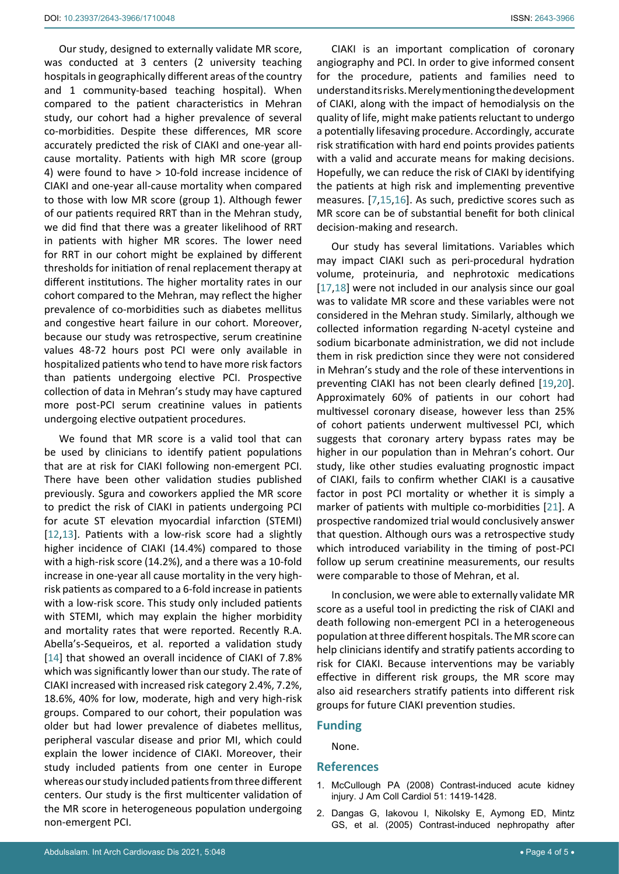Our study, designed to externally validate MR score, was conducted at 3 centers (2 university teaching hospitals in geographically different areas of the country and 1 community-based teaching hospital). When compared to the patient characteristics in Mehran study, our cohort had a higher prevalence of several co-morbidities. Despite these differences, MR score accurately predicted the risk of CIAKI and one-year allcause mortality. Patients with high MR score (group 4) were found to have > 10-fold increase incidence of CIAKI and one-year all-cause mortality when compared to those with low MR score (group 1). Although fewer of our patients required RRT than in the Mehran study, we did find that there was a greater likelihood of RRT in patients with higher MR scores. The lower need for RRT in our cohort might be explained by different thresholds for initiation of renal replacement therapy at different institutions. The higher mortality rates in our cohort compared to the Mehran, may reflect the higher prevalence of co-morbidities such as diabetes mellitus and congestive heart failure in our cohort. Moreover, because our study was retrospective, serum creatinine values 48-72 hours post PCI were only available in hospitalized patients who tend to have more risk factors than patients undergoing elective PCI. Prospective collection of data in Mehran's study may have captured more post-PCI serum creatinine values in patients undergoing elective outpatient procedures.

We found that MR score is a valid tool that can be used by clinicians to identify patient populations that are at risk for CIAKI following non-emergent PCI. There have been other validation studies published previously. Sgura and coworkers applied the MR score to predict the risk of CIAKI in patients undergoing PCI for acute ST elevation myocardial infarction (STEMI) [[12](#page-4-16),[13\]](#page-4-17). Patients with a low-risk score had a slightly higher incidence of CIAKI (14.4%) compared to those with a high-risk score (14.2%), and a there was a 10-fold increase in one-year all cause mortality in the very highrisk patients as compared to a 6-fold increase in patients with a low-risk score. This study only included patients with STEMI, which may explain the higher morbidity and mortality rates that were reported. Recently R.A. Abella's-Sequeiros, et al. reported a validation study [[14](#page-4-18)] that showed an overall incidence of CIAKI of 7.8% which was significantly lower than our study. The rate of CIAKI increased with increased risk category 2.4%, 7.2%, 18.6%, 40% for low, moderate, high and very high-risk groups. Compared to our cohort, their population was older but had lower prevalence of diabetes mellitus, peripheral vascular disease and prior MI, which could explain the lower incidence of CIAKI. Moreover, their study included patients from one center in Europe whereas our study included patients from three different centers. Our study is the first multicenter validation of the MR score in heterogeneous population undergoing non-emergent PCI.

CIAKI is an important complication of coronary angiography and PCI. In order to give informed consent for the procedure, patients and families need to understand its risks. Merely mentioning the development of CIAKI, along with the impact of hemodialysis on the quality of life, might make patients reluctant to undergo a potentially lifesaving procedure. Accordingly, accurate risk stratification with hard end points provides patients with a valid and accurate means for making decisions. Hopefully, we can reduce the risk of CIAKI by identifying the patients at high risk and implementing preventive measures. [\[7,](#page-4-4)[15](#page-4-9)[,16\]](#page-4-10). As such, predictive scores such as MR score can be of substantial benefit for both clinical decision-making and research.

Our study has several limitations. Variables which may impact CIAKI such as peri-procedural hydration volume, proteinuria, and nephrotoxic medications [\[17](#page-4-11),[18](#page-4-12)] were not included in our analysis since our goal was to validate MR score and these variables were not considered in the Mehran study. Similarly, although we collected information regarding N-acetyl cysteine and sodium bicarbonate administration, we did not include them in risk prediction since they were not considered in Mehran's study and the role of these interventions in preventing CIAKI has not been clearly defined [[19,](#page-4-13)[20](#page-4-14)]. Approximately 60% of patients in our cohort had multivessel coronary disease, however less than 25% of cohort patients underwent multivessel PCI, which suggests that coronary artery bypass rates may be higher in our population than in Mehran's cohort. Our study, like other studies evaluating prognostic impact of CIAKI, fails to confirm whether CIAKI is a causative factor in post PCI mortality or whether it is simply a marker of patients with multiple co-morbidities [[21](#page-4-15)]. A prospective randomized trial would conclusively answer that question. Although ours was a retrospective study which introduced variability in the timing of post-PCI follow up serum creatinine measurements, our results were comparable to those of Mehran, et al.

In conclusion, we were able to externally validate MR score as a useful tool in predicting the risk of CIAKI and death following non-emergent PCI in a heterogeneous population at three different hospitals. The MR score can help clinicians identify and stratify patients according to risk for CIAKI. Because interventions may be variably effective in different risk groups, the MR score may also aid researchers stratify patients into different risk groups for future CIAKI prevention studies.

#### **Funding**

None.

#### **References**

- <span id="page-3-0"></span>1. [McCullough PA \(2008\) Contrast-induced acute kidney](https://pubmed.ncbi.nlm.nih.gov/18402894/)  [injury. J Am Coll Cardiol 51: 1419-1428.](https://pubmed.ncbi.nlm.nih.gov/18402894/)
- <span id="page-3-1"></span>2. [Dangas G, Iakovou I, Nikolsky E, Aymong ED, Mintz](https://pubmed.ncbi.nlm.nih.gov/15619387/)  [GS, et al. \(2005\) Contrast-induced nephropathy after](https://pubmed.ncbi.nlm.nih.gov/15619387/)